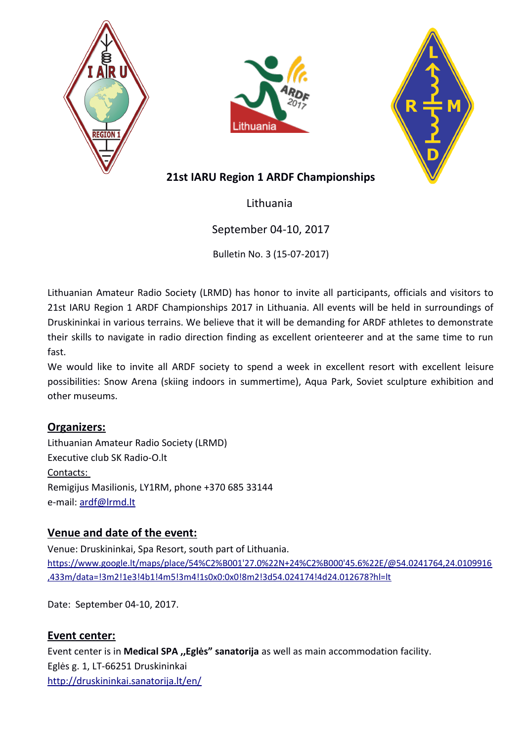





# **21st IARU Region 1 ARDF Championships**

Lithuania

# September 04-10, 2017

Bulletin No. 3 (15-07-2017)

Lithuanian Amateur Radio Society (LRMD) has honor to invite all participants, officials and visitors to 21st IARU Region 1 ARDF Championships 2017 in Lithuania. All events will be held in surroundings of Druskininkai in various terrains. We believe that it will be demanding for ARDF athletes to demonstrate their skills to navigate in radio direction finding as excellent orienteerer and at the same time to run fast.

We would like to invite all ARDF society to spend a week in excellent resort with excellent leisure possibilities: Snow Arena (skiing indoors in summertime), Aqua Park, Soviet sculpture exhibition and other museums.

# **Organizers:**

Lithuanian Amateur Radio Society (LRMD) Executive club SK Radio-O.lt Contacts: Remigijus Masilionis, LY1RM, phone +370 685 33144 e-mail: [ardf@lrmd.lt](mailto:ardf@lrmd.lt)

# **Venue and date of the event:**

Venue: Druskininkai, Spa Resort, south part of Lithuania. [https://www.google.lt/maps/place/54%C2%B001'27.0%22N+24%C2%B000'45.6%22E/@54.0241764,24.0109916](https://www.google.lt/maps/place/54%C2%B001) [,433m/data=!3m2!1e3!4b1!4m5!3m4!1s0x0:0x0!8m2!3d54.024174!4d24.012678?hl=lt](https://www.google.lt/maps/place/54%C2%B001)

Date: September 04-10, 2017.

# **Event center:**

Event center is in **Medical SPA ,,Eglės" sanatorija** as well as main accommodation facility. Eglės g. 1, LT-66251 Druskininkai <http://druskininkai.sanatorija.lt/en/>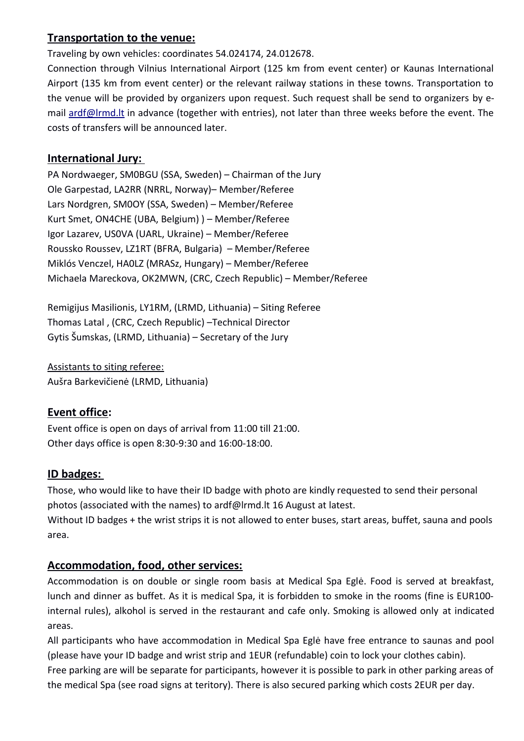# **Transportation to the venue:**

Traveling by own vehicles: coordinates 54.024174, 24.012678.

Connection through Vilnius International Airport (125 km from event center) or Kaunas International Airport (135 km from event center) or the relevant railway stations in these towns. Transportation to the venue will be provided by organizers upon request. Such request shall be send to organizers by email [ardf@lrmd.lt](mailto:ardf@lrmd.lt) in advance (together with entries), not later than three weeks before the event. The costs of transfers will be announced later.

### **International Jury:**

PA Nordwaeger, SM0BGU (SSA, Sweden) – Chairman of the Jury Ole Garpestad, LA2RR (NRRL, Norway)– Member/Referee Lars Nordgren, SM0OY (SSA, Sweden) – Member/Referee Kurt Smet, ON4CHE (UBA, Belgium) ) – Member/Referee Igor Lazarev, US0VA (UARL, Ukraine) – Member/Referee Roussko Roussev, LZ1RT (BFRA, Bulgaria) – Member/Referee Miklós Venczel, HA0LZ (MRASz, Hungary) – Member/Referee Michaela Mareckova, OK2MWN, (CRC, Czech Republic) – Member/Referee

Remigijus Masilionis, LY1RM, (LRMD, Lithuania) – Siting Referee Thomas Latal , (CRC, Czech Republic) –Technical Director Gytis Šumskas, (LRMD, Lithuania) – Secretary of the Jury

Assistants to siting referee: Aušra Barkevičienė (LRMD, Lithuania)

# **Event office:**

Event office is open on days of arrival from 11:00 till 21:00. Other days office is open 8:30-9:30 and 16:00-18:00.

# **ID badges:**

Those, who would like to have their ID badge with photo are kindly requested to send their personal photos (associated with the names) to ardf@lrmd.lt 16 August at latest.

Without ID badges + the wrist strips it is not allowed to enter buses, start areas, buffet, sauna and pools area.

# **Accommodation, food, other services:**

Accommodation is on double or single room basis at Medical Spa Eglė. Food is served at breakfast, lunch and dinner as buffet. As it is medical Spa, it is forbidden to smoke in the rooms (fine is EUR100 internal rules), alkohol is served in the restaurant and cafe only. Smoking is allowed only at indicated areas.

All participants who have accommodation in Medical Spa Eglė have free entrance to saunas and pool (please have your ID badge and wrist strip and 1EUR (refundable) coin to lock your clothes cabin).

Free parking are will be separate for participants, however it is possible to park in other parking areas of the medical Spa (see road signs at teritory). There is also secured parking which costs 2EUR per day.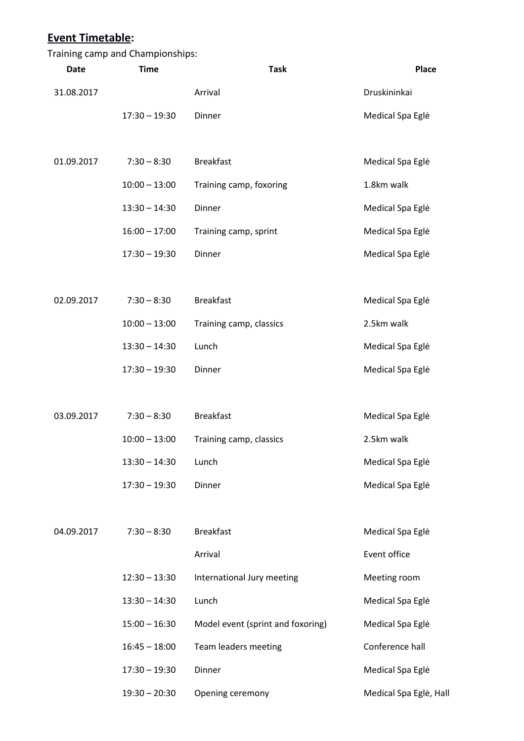|             | Training camp and Championships: |                                   |                        |
|-------------|----------------------------------|-----------------------------------|------------------------|
| <b>Date</b> | <b>Time</b>                      | <b>Task</b>                       | Place                  |
| 31.08.2017  |                                  | Arrival                           | Druskininkai           |
|             | $17:30 - 19:30$                  | Dinner                            | Medical Spa Eglė       |
|             |                                  |                                   |                        |
| 01.09.2017  | $7:30 - 8:30$                    | <b>Breakfast</b>                  | Medical Spa Eglė       |
|             | $10:00 - 13:00$                  | Training camp, foxoring           | 1.8km walk             |
|             | $13:30 - 14:30$                  | Dinner                            | Medical Spa Eglė       |
|             | $16:00 - 17:00$                  | Training camp, sprint             | Medical Spa Eglė       |
|             | $17:30 - 19:30$                  | Dinner                            | Medical Spa Eglė       |
|             |                                  |                                   |                        |
| 02.09.2017  | $7:30 - 8:30$                    | <b>Breakfast</b>                  | Medical Spa Eglė       |
|             | $10:00 - 13:00$                  | Training camp, classics           | 2.5km walk             |
|             | $13:30 - 14:30$                  | Lunch                             | Medical Spa Eglė       |
|             | $17:30 - 19:30$                  | Dinner                            | Medical Spa Eglė       |
|             |                                  |                                   |                        |
| 03.09.2017  | $7:30 - 8:30$                    | <b>Breakfast</b>                  | Medical Spa Eglė       |
|             | $10:00 - 13:00$                  | Training camp, classics           | 2.5km walk             |
|             | $13:30 - 14:30$                  | Lunch                             | Medical Spa Eglė       |
|             | $17:30 - 19:30$                  | Dinner                            | Medical Spa Eglė       |
|             |                                  |                                   |                        |
| 04.09.2017  | $7:30 - 8:30$                    | <b>Breakfast</b>                  | Medical Spa Eglė       |
|             |                                  | Arrival                           | Event office           |
|             | $12:30 - 13:30$                  | International Jury meeting        | Meeting room           |
|             | $13:30 - 14:30$                  | Lunch                             | Medical Spa Eglė       |
|             | $15:00 - 16:30$                  | Model event (sprint and foxoring) | Medical Spa Eglė       |
|             | $16:45 - 18:00$                  | Team leaders meeting              | Conference hall        |
|             | $17:30 - 19:30$                  | Dinner                            | Medical Spa Eglė       |
|             | $19:30 - 20:30$                  | Opening ceremony                  | Medical Spa Eglė, Hall |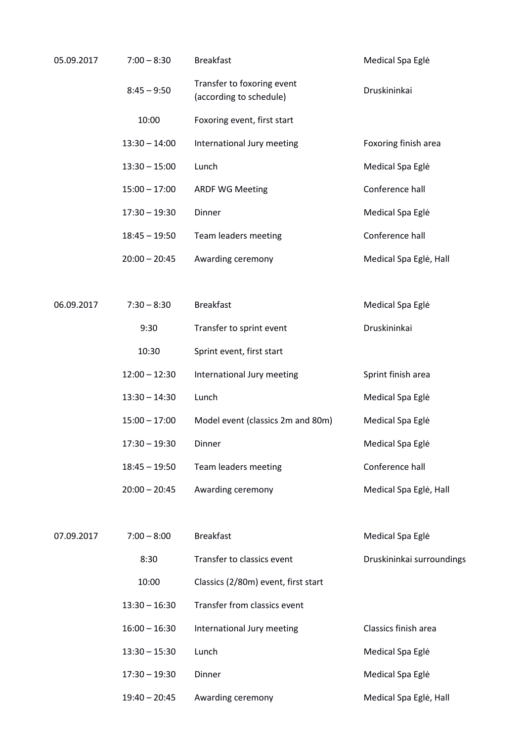| 05.09.2017 | $7:00 - 8:30$   | <b>Breakfast</b>                                      | Medical Spa Eglė          |
|------------|-----------------|-------------------------------------------------------|---------------------------|
|            | $8:45 - 9:50$   | Transfer to foxoring event<br>(according to schedule) | Druskininkai              |
|            | 10:00           | Foxoring event, first start                           |                           |
|            | $13:30 - 14:00$ | International Jury meeting                            | Foxoring finish area      |
|            | $13:30 - 15:00$ | Lunch                                                 | Medical Spa Eglė          |
|            | $15:00 - 17:00$ | <b>ARDF WG Meeting</b>                                | Conference hall           |
|            | $17:30 - 19:30$ | Dinner                                                | Medical Spa Eglė          |
|            | $18:45 - 19:50$ | Team leaders meeting                                  | Conference hall           |
|            | $20:00 - 20:45$ | Awarding ceremony                                     | Medical Spa Eglė, Hall    |
|            |                 |                                                       |                           |
| 06.09.2017 | $7:30 - 8:30$   | <b>Breakfast</b>                                      | Medical Spa Eglė          |
|            | 9:30            | Transfer to sprint event                              | Druskininkai              |
|            | 10:30           | Sprint event, first start                             |                           |
|            | $12:00 - 12:30$ | International Jury meeting                            | Sprint finish area        |
|            | $13:30 - 14:30$ | Lunch                                                 | Medical Spa Eglė          |
|            | $15:00 - 17:00$ | Model event (classics 2m and 80m)                     | Medical Spa Eglė          |
|            | $17:30 - 19:30$ | Dinner                                                | Medical Spa Eglė          |
|            | $18:45 - 19:50$ | Team leaders meeting                                  | Conference hall           |
|            | $20:00 - 20:45$ | Awarding ceremony                                     | Medical Spa Eglė, Hall    |
|            |                 |                                                       |                           |
| 07.09.2017 | $7:00 - 8:00$   | <b>Breakfast</b>                                      | Medical Spa Eglė          |
|            | 8:30            | Transfer to classics event                            | Druskininkai surroundings |
|            | 10:00           | Classics (2/80m) event, first start                   |                           |
|            | $13:30 - 16:30$ | Transfer from classics event                          |                           |
|            | $16:00 - 16:30$ | International Jury meeting                            | Classics finish area      |
|            | $13:30 - 15:30$ | Lunch                                                 | Medical Spa Eglė          |
|            | $17:30 - 19:30$ | Dinner                                                | Medical Spa Eglė          |
|            | $19:40 - 20:45$ | Awarding ceremony                                     | Medical Spa Eglė, Hall    |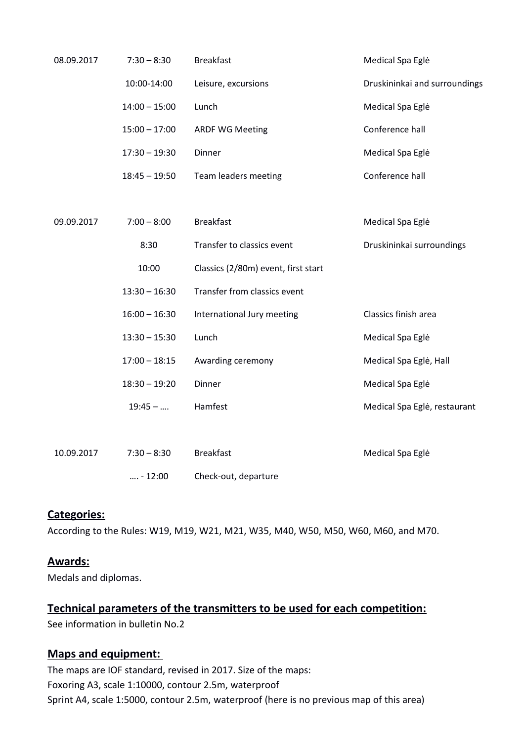| 08.09.2017 | $7:30 - 8:30$   | <b>Breakfast</b>                    | Medical Spa Eglė              |
|------------|-----------------|-------------------------------------|-------------------------------|
|            | 10:00-14:00     | Leisure, excursions                 | Druskininkai and surroundings |
|            | $14:00 - 15:00$ | Lunch                               | Medical Spa Eglė              |
|            | $15:00 - 17:00$ | <b>ARDF WG Meeting</b>              | Conference hall               |
|            | $17:30 - 19:30$ | Dinner                              | Medical Spa Eglė              |
|            | $18:45 - 19:50$ | Team leaders meeting                | Conference hall               |
|            |                 |                                     |                               |
| 09.09.2017 | $7:00 - 8:00$   | <b>Breakfast</b>                    | Medical Spa Eglė              |
|            | 8:30            | Transfer to classics event          | Druskininkai surroundings     |
|            | 10:00           | Classics (2/80m) event, first start |                               |
|            | $13:30 - 16:30$ | Transfer from classics event        |                               |
|            | $16:00 - 16:30$ | International Jury meeting          | Classics finish area          |
|            | $13:30 - 15:30$ | Lunch                               | Medical Spa Eglė              |
|            | $17:00 - 18:15$ | Awarding ceremony                   | Medical Spa Eglė, Hall        |
|            | $18:30 - 19:20$ | Dinner                              | Medical Spa Eglė              |
|            | $19:45 - $      | Hamfest                             | Medical Spa Eglė, restaurant  |
|            |                 |                                     |                               |
| 10.09.2017 | $7:30 - 8:30$   | <b>Breakfast</b>                    | Medical Spa Eglė              |
|            | $ - 12:00$      | Check-out, departure                |                               |

#### **Categories:**

According to the Rules: W19, M19, W21, M21, W35, M40, W50, M50, W60, M60, and M70.

#### **Awards:**

Medals and diplomas.

### **Technical parameters of the transmitters to be used for each competition:**

See information in bulletin No.2

# **Маps and equipment:**

The maps are IOF standard, revised in 2017. Size of the maps: Foxoring A3, scale 1:10000, contour 2.5m, waterproof Sprint A4, scale 1:5000, contour 2.5m, waterproof (here is no previous map of this area)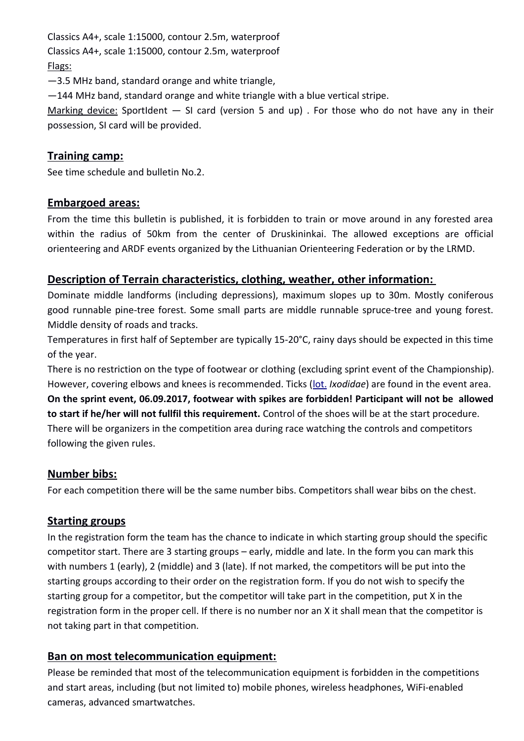Classics A4+, scale 1:15000, contour 2.5m, waterproof Classics A4+, scale 1:15000, contour 2.5m, waterproof Flags:

—3.5 MHz band, standard orange and white triangle,

—144 MHz band, standard orange and white triangle with a blue vertical stripe.

Marking device: SportIdent  $-$  SI card (version 5 and up). For those who do not have any in their possession, SI card will be provided.

### **Training camp:**

See time schedule and bulletin No.2.

#### **Embargoed areas:**

From the time this bulletin is published, it is forbidden to train or move around in any forested area within the radius of 50km from the center of Druskininkai. The allowed exceptions are official orienteering and ARDF events organized by the Lithuanian Orienteering Federation or by the LRMD.

#### **Description of Terrain characteristics, clothing, weather, other information :**

Dominate middle landforms (including depressions), maximum slopes up to 30m. Mostly coniferous good runnable pine-tree forest. Some small parts are middle runnable spruce-tree and young forest. Middle density of roads and tracks.

Temperatures in first half of September are typically 15-20°C, rainy days should be expected in this time of the year.

There is no restriction on the type of footwear or clothing (excluding sprint event of the Championship). However, covering elbows and knees is recommended. Ticks [\(lot.](https://lt.wikipedia.org/wiki/Lotyn%C5%B3_kalba) *Ixodidae*) are found in the event area. **On the sprint event, 06.09.2017, footwear with spikes are forbidden! Participant will not be allowed to start if he/her will not fullfil this requirement.** Control of the shoes will be at the start procedure. There will be organizers in the competition area during race watching the controls and competitors following the given rules.

#### **Number bibs:**

For each competition there will be the same number bibs. Competitors shall wear bibs on the chest.

#### **Starting groups**

In the registration form the team has the chance to indicate in which starting group should the specific competitor start. There are 3 starting groups – early, middle and late. In the form you can mark this with numbers 1 (early), 2 (middle) and 3 (late). If not marked, the competitors will be put into the starting groups according to their order on the registration form. If you do not wish to specify the starting group for a competitor, but the competitor will take part in the competition, put X in the registration form in the proper cell. If there is no number nor an X it shall mean that the competitor is not taking part in that competition.

#### **Ban on most telecommunication equipment:**

Please be reminded that most of the telecommunication equipment is forbidden in the competitions and start areas, including (but not limited to) mobile phones, wireless headphones, WiFi-enabled cameras, advanced smartwatches.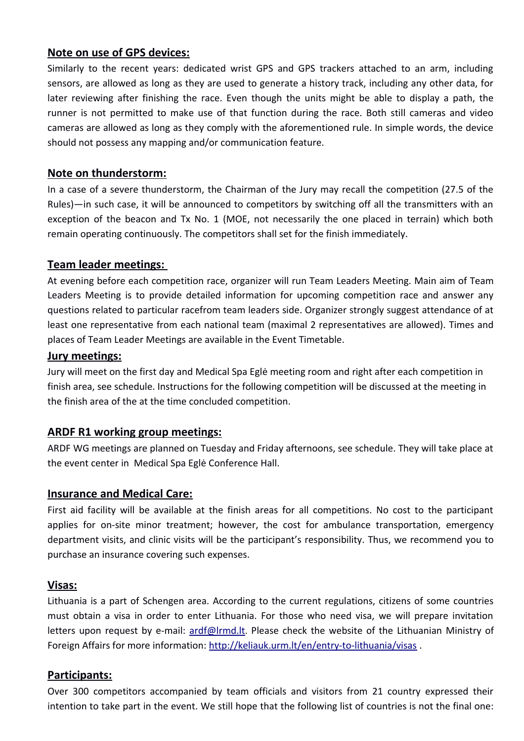### **Note on use of GPS devices:**

Similarly to the recent years: dedicated wrist GPS and GPS trackers attached to an arm, including sensors, are allowed as long as they are used to generate a history track, including any other data, for later reviewing after finishing the race. Even though the units might be able to display a path, the runner is not permitted to make use of that function during the race. Both still cameras and video cameras are allowed as long as they comply with the aforementioned rule. In simple words, the device should not possess any mapping and/or communication feature.

### **Note on thunderstorm:**

In a case of a severe thunderstorm, the Chairman of the Jury may recall the competition (27.5 of the Rules)—in such case, it will be announced to competitors by switching off all the transmitters with an exception of the beacon and Tx No. 1 (MOE, not necessarily the one placed in terrain) which both remain operating continuously. The competitors shall set for the finish immediately.

#### **Team leader meetings:**

At evening before each competition race, organizer will run Team Leaders Meeting. Main aim of Team Leaders Meeting is to provide detailed information for upcoming competition race and answer any questions related to particular racefrom team leaders side. Organizer strongly suggest attendance of at least one representative from each national team (maximal 2 representatives are allowed). Times and places of Team Leader Meetings are available in the Event Timetable.

#### **Jury meetings:**

Jury will meet on the first day and Medical Spa Eglė meeting room and right after each competition in finish area, see schedule. Instructions for the following competition will be discussed at the meeting in the finish area of the at the time concluded competition.

#### **ARDF R1 working group meetings:**

ARDF WG meetings are planned on Tuesday and Friday afternoons, see schedule. They will take place at the event center in Medical Spa Eglė Conference Hall.

#### **Insurance and Medical Care:**

First aid facility will be available at the finish areas for all competitions. No cost to the participant applies for on-site minor treatment; however, the cost for ambulance transportation, emergency department visits, and clinic visits will be the participant's responsibility. Thus, we recommend you to purchase an insurance covering such expenses.

#### **Visas:**

Lithuania is a part of Schengen area. According to the current regulations, citizens of some countries must obtain a visa in order to enter Lithuania. For those who need visa, we will prepare invitation letters upon request by e-mail: [ardf@lrmd.lt](mailto:ardf@lrmd.lt). Please check the website of the Lithuanian Ministry of Foreign Affairs for more information:<http://keliauk.urm.lt/en/entry-to-lithuania/visas>.

# **Participants:**

Over 300 competitors accompanied by team officials and visitors from 21 country expressed their intention to take part in the event. We still hope that the following list of countries is not the final one: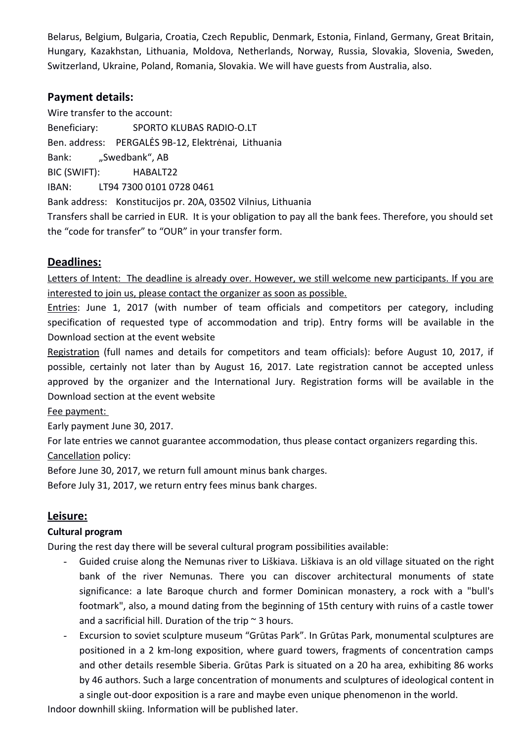Belarus, Belgium, Bulgaria, Croatia, Czech Republic, Denmark, Estonia, Finland, Germany, Great Britain, Hungary, Kazakhstan, Lithuania, Moldova, Netherlands, Norway, Russia, Slovakia, Slovenia, Sweden, Switzerland, Ukraine, Poland, Romania, Slovakia. We will have guests from Australia, also.

# **Payment details:**

Wire transfer to the account: Beneficiary: SPORTO KLUBAS RADIO-O.LT Ben. address: PERGALĖS 9B-12, Elektrėnai, Lithuania Bank: "Swedbank", AB BIC (SWIFT): HABALT22 IBAN: LT94 7300 0101 0728 0461 Bank address: Konstitucijos pr. 20A, 03502 Vilnius, Lithuania Transfers shall be carried in EUR. It is your obligation to pay all the bank fees. Therefore, you should set the "code for transfer" to "OUR" in your transfer form.

### **Deadlines:**

Letters of Intent: The deadline is already over. However, we still welcome new participants. If you are interested to join us, please contact the organizer as soon as possible.

Entries: June 1, 2017 (with number of team officials and competitors per category, including specification of requested type of accommodation and trip). Entry forms will be available in the Download section at the event website

Registration (full names and details for competitors and team officials): before August 10, 2017, if possible, certainly not later than by August 16, 2017. Late registration cannot be accepted unless approved by the organizer and the International Jury. Registration forms will be available in the Download section at the event website

Fee payment:

Early payment June 30, 2017.

For late entries we cannot guarantee accommodation, thus please contact organizers regarding this.

Cancellation policy:

Before June 30, 2017, we return full amount minus bank charges.

Before July 31, 2017, we return entry fees minus bank charges.

#### **Leisure:**

#### **Cultural program**

During the rest day there will be several cultural program possibilities available:

- Guided cruise along the Nemunas river to Liškiava. Liškiava is an old village situated on the right bank of the river Nemunas. There you can discover architectural monuments of state significance: a late Baroque church and former Dominican monastery, a rock with a "bull's footmark", also, a mound dating from the beginning of 15th century with ruins of a castle tower and a sacrificial hill. Duration of the trip  $\sim$  3 hours.
- Excursion to soviet sculpture museum "Grūtas Park". In Grūtas Park, monumental sculptures are positioned in a 2 km-long exposition, where guard towers, fragments of concentration camps and other details resemble Siberia. Grūtas Park is situated on a 20 ha area, exhibiting 86 works by 46 authors. Such a large concentration of monuments and sculptures of ideological content in a single out-door exposition is a rare and maybe even unique phenomenon in the world.

Indoor downhill skiing. Information will be published later.